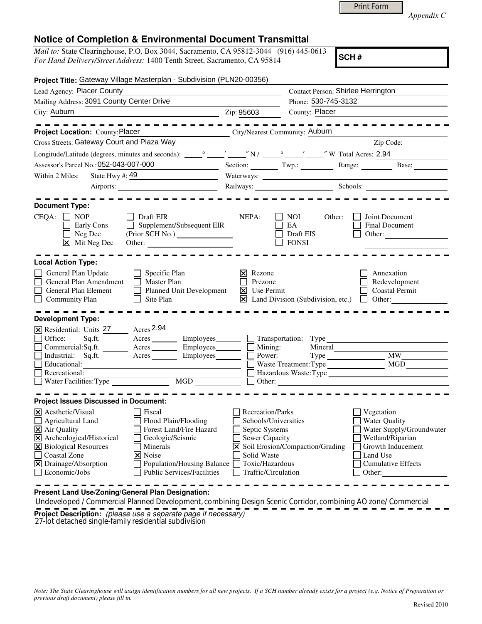| Appendix C |  |
|------------|--|
|------------|--|

## **Notice of Completion & Environmental Document Transmittal**

*Mail to:* State Clearinghouse, P.O. Box 3044, Sacramento, CA 95812-3044 (916) 445-0613 *For Hand Delivery/Street Address:* 1400 Tenth Street, Sacramento, CA 95814

**SCH #**

Print Form

| Project Title: Gateway Village Masterplan - Subdivision (PLN20-00356)                                                                                                                                                                                                                                                                                                                    |                                                                                                                                              |                                                         |                                                                                                                                                            |
|------------------------------------------------------------------------------------------------------------------------------------------------------------------------------------------------------------------------------------------------------------------------------------------------------------------------------------------------------------------------------------------|----------------------------------------------------------------------------------------------------------------------------------------------|---------------------------------------------------------|------------------------------------------------------------------------------------------------------------------------------------------------------------|
| Lead Agency: Placer County                                                                                                                                                                                                                                                                                                                                                               | Contact Person: Shirlee Herrington                                                                                                           |                                                         |                                                                                                                                                            |
| Mailing Address: 3091 County Center Drive                                                                                                                                                                                                                                                                                                                                                | Phone: 530-745-3132                                                                                                                          |                                                         |                                                                                                                                                            |
| City: Auburn<br><u> 1980 - Johann Barbara, martin amerikan ba</u>                                                                                                                                                                                                                                                                                                                        | Zip: 95603                                                                                                                                   | County: Placer                                          |                                                                                                                                                            |
| $- - - - - - - -$<br>Project Location: County: Placer<br>City/Nearest Community: Auburn                                                                                                                                                                                                                                                                                                  |                                                                                                                                              |                                                         | - - - - - - - - - -                                                                                                                                        |
| Cross Streets: Gateway Court and Plaza Way                                                                                                                                                                                                                                                                                                                                               |                                                                                                                                              |                                                         | Zip Code:                                                                                                                                                  |
|                                                                                                                                                                                                                                                                                                                                                                                          |                                                                                                                                              |                                                         |                                                                                                                                                            |
| Assessor's Parcel No.: 052-043-007-000                                                                                                                                                                                                                                                                                                                                                   |                                                                                                                                              |                                                         | Section: Twp.: Range: Range: Base:                                                                                                                         |
| State Hwy #: 49<br>Within 2 Miles:                                                                                                                                                                                                                                                                                                                                                       |                                                                                                                                              | Waterways:                                              |                                                                                                                                                            |
| Airports:                                                                                                                                                                                                                                                                                                                                                                                |                                                                                                                                              | Railways: Schools: Schools:                             |                                                                                                                                                            |
| <b>Document Type:</b><br>$CEQA: \Box NP$<br><b>Draft EIR</b><br>Supplement/Subsequent EIR<br>Early Cons<br>$\Box$ Neg Dec<br>$\boxtimes$ Mit Neg Dec                                                                                                                                                                                                                                     | NEPA:                                                                                                                                        | NOI<br>Other:<br><b>EA</b><br>Draft EIS<br><b>FONSI</b> | Joint Document<br>Final Document<br>Other:                                                                                                                 |
| <b>Local Action Type:</b>                                                                                                                                                                                                                                                                                                                                                                |                                                                                                                                              |                                                         |                                                                                                                                                            |
| General Plan Update<br>$\Box$ Specific Plan<br>General Plan Amendment<br>$\Box$ Master Plan<br>Planned Unit Development<br>General Plan Element<br>$\Box$ Site Plan<br>ப<br><b>Community Plan</b>                                                                                                                                                                                        | $\vert \mathsf{x} \vert$ Rezone<br>Prezone<br><b>X</b> Use Permit                                                                            |                                                         | Annexation<br>Redevelopment<br><b>Coastal Permit</b><br>$\boxtimes$ Land Division (Subdivision, etc.) $\Box$ Other:                                        |
| <b>Development Type:</b><br>X Residential: Units 27 Acres 2.94<br>Office:<br>$Sq.ft.$ Acres<br>Commercial:Sq.ft. <u>Acres</u> Acres Employees<br>Industrial: Sq.ft. Acres Employees<br>Recreational:<br>Water Facilities: Type $\qquad \qquad \text{MGD} \qquad \qquad \Box \text{ Other:}$                                                                                              | Employees_________ _ Transportation: Type_<br>$\blacksquare$ Mining:<br>Power:                                                               | Mineral<br>$Type \_$<br>$\Box$ Waste Treatment: Type    | MW<br>MGD<br><u> 1990 - Johann Barnett, fransk politiker</u><br>Hazardous Waste:Type                                                                       |
| <b>Project Issues Discussed in Document:</b>                                                                                                                                                                                                                                                                                                                                             |                                                                                                                                              |                                                         |                                                                                                                                                            |
| l×l<br>Aesthetic/Visual<br><b>Fiscal</b><br>Agricultural Land<br>Flood Plain/Flooding<br>X Air Quality<br>Forest Land/Fire Hazard<br>X Archeological/Historical<br>Geologic/Seismic<br>X Biological Resources<br>Minerals<br><b>Coastal Zone</b><br><b> × </b> Noise<br>X Drainage/Absorption<br>Population/Housing Balance [<br>П<br><b>Public Services/Facilities</b><br>Economic/Jobs | <b>Recreation/Parks</b><br>Schools/Universities<br>Septic Systems<br>Sewer Capacity<br>Solid Waste<br>Toxic/Hazardous<br>Traffic/Circulation | X Soil Erosion/Compaction/Grading                       | Vegetation<br><b>Water Quality</b><br>Water Supply/Groundwater<br>Wetland/Riparian<br>Growth Inducement<br>Land Use<br><b>Cumulative Effects</b><br>Other: |

**Present Land Use/Zoning/General Plan Designation:**

 Undeveloped / Commercial Planned Development, combining Design Scenic Corridor, combining AO zone/ Commercial **Project Description:** (please use a separate page if necessary)

27-lot detached single-family residential subdivision